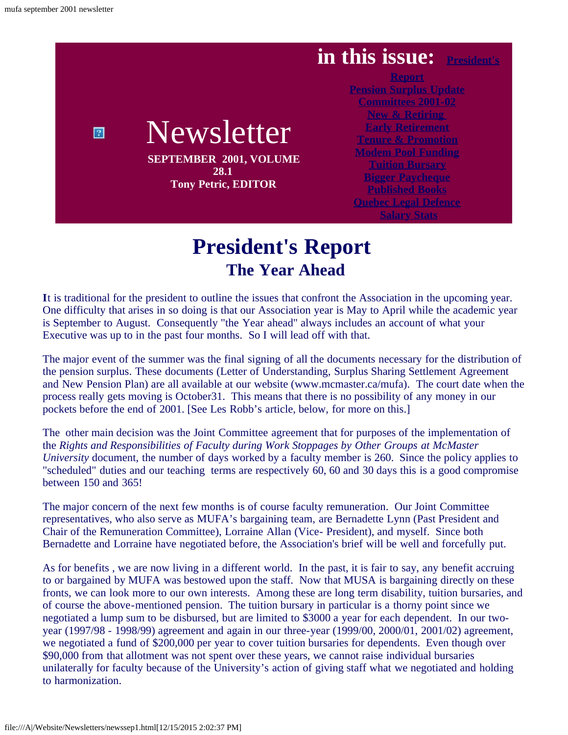

### **President's Report The Year Ahead**

<span id="page-0-0"></span>**I**t is traditional for the president to outline the issues that confront the Association in the upcoming year. One difficulty that arises in so doing is that our Association year is May to April while the academic year is September to August. Consequently "the Year ahead" always includes an account of what your Executive was up to in the past four months. So I will lead off with that.

The major event of the summer was the final signing of all the documents necessary for the distribution of the pension surplus. These documents (Letter of Understanding, Surplus Sharing Settlement Agreement and New Pension Plan) are all available at our website (www.mcmaster.ca/mufa). The court date when the process really gets moving is October31. This means that there is no possibility of any money in our pockets before the end of 2001. [See Les Robb's article, below, for more on this.]

The other main decision was the Joint Committee agreement that for purposes of the implementation of the *Rights and Responsibilities of Faculty during Work Stoppages by Other Groups at McMaster University* document, the number of days worked by a faculty member is 260. Since the policy applies to "scheduled" duties and our teaching terms are respectively 60, 60 and 30 days this is a good compromise between 150 and 365!

The major concern of the next few months is of course faculty remuneration. Our Joint Committee representatives, who also serve as MUFA's bargaining team, are Bernadette Lynn (Past President and Chair of the Remuneration Committee), Lorraine Allan (Vice- President), and myself. Since both Bernadette and Lorraine have negotiated before, the Association's brief will be well and forcefully put.

As for benefits , we are now living in a different world. In the past, it is fair to say, any benefit accruing to or bargained by MUFA was bestowed upon the staff. Now that MUSA is bargaining directly on these fronts, we can look more to our own interests. Among these are long term disability, tuition bursaries, and of course the above-mentioned pension. The tuition bursary in particular is a thorny point since we negotiated a lump sum to be disbursed, but are limited to \$3000 a year for each dependent. In our twoyear (1997/98 - 1998/99) agreement and again in our three-year (1999/00, 2000/01, 2001/02) agreement, we negotiated a fund of \$200,000 per year to cover tuition bursaries for dependents. Even though over \$90,000 from that allotment was not spent over these years, we cannot raise individual bursaries unilaterally for faculty because of the University's action of giving staff what we negotiated and holding to harmonization.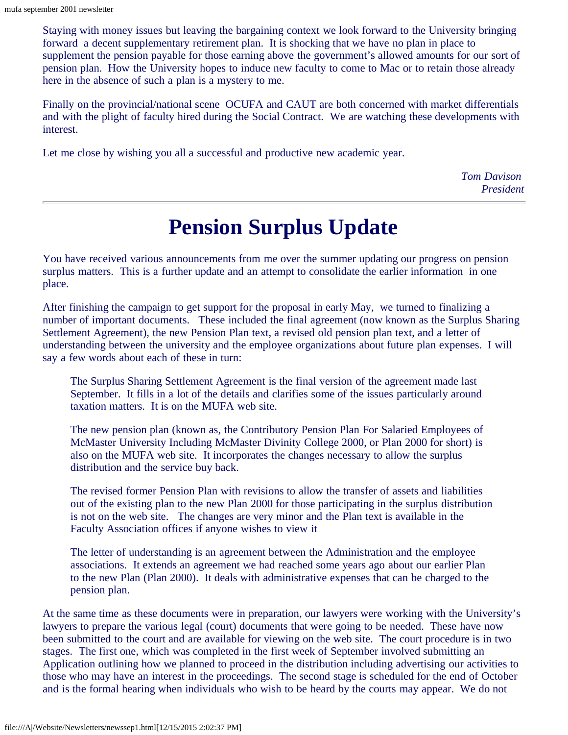Staying with money issues but leaving the bargaining context we look forward to the University bringing forward a decent supplementary retirement plan. It is shocking that we have no plan in place to supplement the pension payable for those earning above the government's allowed amounts for our sort of pension plan. How the University hopes to induce new faculty to come to Mac or to retain those already here in the absence of such a plan is a mystery to me.

Finally on the provincial/national scene OCUFA and CAUT are both concerned with market differentials and with the plight of faculty hired during the Social Contract. We are watching these developments with interest.

Let me close by wishing you all a successful and productive new academic year.

*Tom Davison President*

### **Pension Surplus Update**

<span id="page-1-0"></span>You have received various announcements from me over the summer updating our progress on pension surplus matters. This is a further update and an attempt to consolidate the earlier information in one place.

After finishing the campaign to get support for the proposal in early May, we turned to finalizing a number of important documents. These included the final agreement (now known as the Surplus Sharing Settlement Agreement), the new Pension Plan text, a revised old pension plan text, and a letter of understanding between the university and the employee organizations about future plan expenses. I will say a few words about each of these in turn:

The Surplus Sharing Settlement Agreement is the final version of the agreement made last September. It fills in a lot of the details and clarifies some of the issues particularly around taxation matters. It is on the MUFA web site.

The new pension plan (known as, the Contributory Pension Plan For Salaried Employees of McMaster University Including McMaster Divinity College 2000, or Plan 2000 for short) is also on the MUFA web site. It incorporates the changes necessary to allow the surplus distribution and the service buy back.

The revised former Pension Plan with revisions to allow the transfer of assets and liabilities out of the existing plan to the new Plan 2000 for those participating in the surplus distribution is not on the web site. The changes are very minor and the Plan text is available in the Faculty Association offices if anyone wishes to view it

The letter of understanding is an agreement between the Administration and the employee associations. It extends an agreement we had reached some years ago about our earlier Plan to the new Plan (Plan 2000). It deals with administrative expenses that can be charged to the pension plan.

At the same time as these documents were in preparation, our lawyers were working with the University's lawyers to prepare the various legal (court) documents that were going to be needed. These have now been submitted to the court and are available for viewing on the web site. The court procedure is in two stages. The first one, which was completed in the first week of September involved submitting an Application outlining how we planned to proceed in the distribution including advertising our activities to those who may have an interest in the proceedings. The second stage is scheduled for the end of October and is the formal hearing when individuals who wish to be heard by the courts may appear. We do not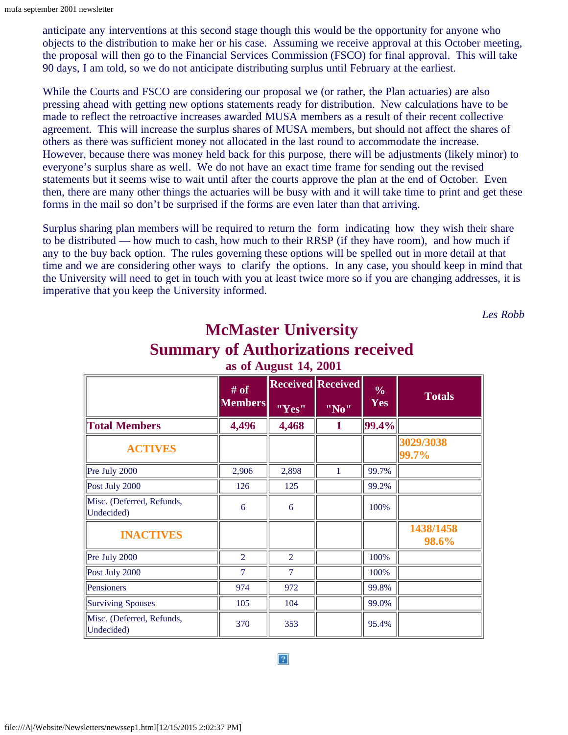anticipate any interventions at this second stage though this would be the opportunity for anyone who objects to the distribution to make her or his case. Assuming we receive approval at this October meeting, the proposal will then go to the Financial Services Commission (FSCO) for final approval. This will take 90 days, I am told, so we do not anticipate distributing surplus until February at the earliest.

While the Courts and FSCO are considering our proposal we (or rather, the Plan actuaries) are also pressing ahead with getting new options statements ready for distribution. New calculations have to be made to reflect the retroactive increases awarded MUSA members as a result of their recent collective agreement. This will increase the surplus shares of MUSA members, but should not affect the shares of others as there was sufficient money not allocated in the last round to accommodate the increase. However, because there was money held back for this purpose, there will be adjustments (likely minor) to everyone's surplus share as well. We do not have an exact time frame for sending out the revised statements but it seems wise to wait until after the courts approve the plan at the end of October. Even then, there are many other things the actuaries will be busy with and it will take time to print and get these forms in the mail so don't be surprised if the forms are even later than that arriving.

Surplus sharing plan members will be required to return the form indicating how they wish their share to be distributed — how much to cash, how much to their RRSP (if they have room), and how much if any to the buy back option. The rules governing these options will be spelled out in more detail at that time and we are considering other ways to clarify the options. In any case, you should keep in mind that the University will need to get in touch with you at least twice more so if you are changing addresses, it is imperative that you keep the University informed.

*Les Robb*

| as of August 17, $2001$                 |                             |                             |                                  |                      |                    |
|-----------------------------------------|-----------------------------|-----------------------------|----------------------------------|----------------------|--------------------|
|                                         | # of<br><b>Members</b>      | "Yes"                       | <b>Received Received</b><br>"No" | $\frac{0}{0}$<br>Yes | <b>Totals</b>      |
| <b>Total Members</b>                    | 4,496                       | 4,468                       | 1                                | $ 99.4\% $           |                    |
| <b>ACTIVES</b>                          |                             |                             |                                  |                      | 3029/3038<br>99.7% |
| Pre July 2000                           | 2,906                       | 2,898                       | 1                                | 99.7%                |                    |
| Post July 2000                          | 126                         | 125                         |                                  | 99.2%                |                    |
| Misc. (Deferred, Refunds,<br>Undecided) | 6                           | 6                           |                                  | 100%                 |                    |
| <b>INACTIVES</b>                        |                             |                             |                                  |                      | 1438/1458<br>98.6% |
| Pre July 2000                           | $\mathcal{D}_{\mathcal{L}}$ | $\mathcal{D}_{\mathcal{L}}$ |                                  | 100%                 |                    |
| Post July 2000                          | $\overline{7}$              | $\overline{7}$              |                                  | 100%                 |                    |
| Pensioners                              | 974                         | 972                         |                                  | 99.8%                |                    |
| Surviving Spouses                       | 105                         | 104                         |                                  | 99.0%                |                    |
| Misc. (Deferred, Refunds,<br>Undecided) | 370                         | 353                         |                                  | 95.4%                |                    |

### **McMaster University Summary of Authorizations received as of August 14, 2001**

 $|2\rangle$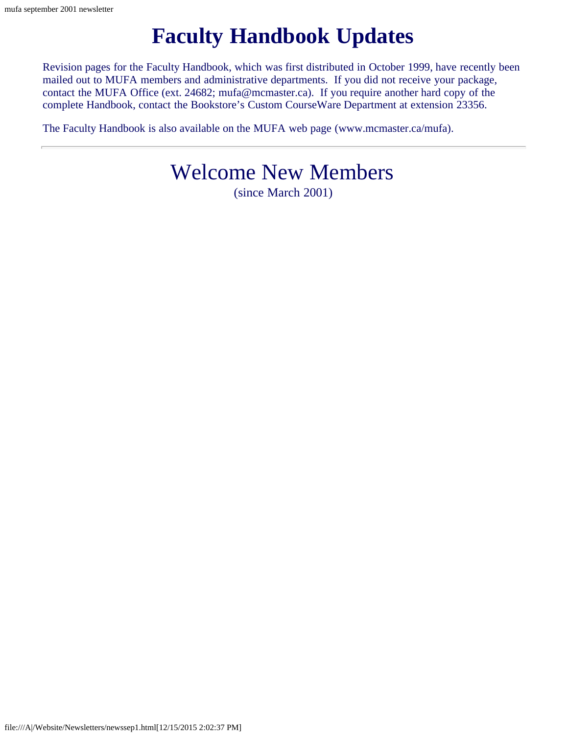## **Faculty Handbook Updates**

Revision pages for the Faculty Handbook, which was first distributed in October 1999, have recently been mailed out to MUFA members and administrative departments. If you did not receive your package, contact the MUFA Office (ext. 24682; mufa@mcmaster.ca). If you require another hard copy of the complete Handbook, contact the Bookstore's Custom CourseWare Department at extension 23356.

<span id="page-3-0"></span>The Faculty Handbook is also available on the MUFA web page (www.mcmaster.ca/mufa).

Welcome New Members

(since March 2001)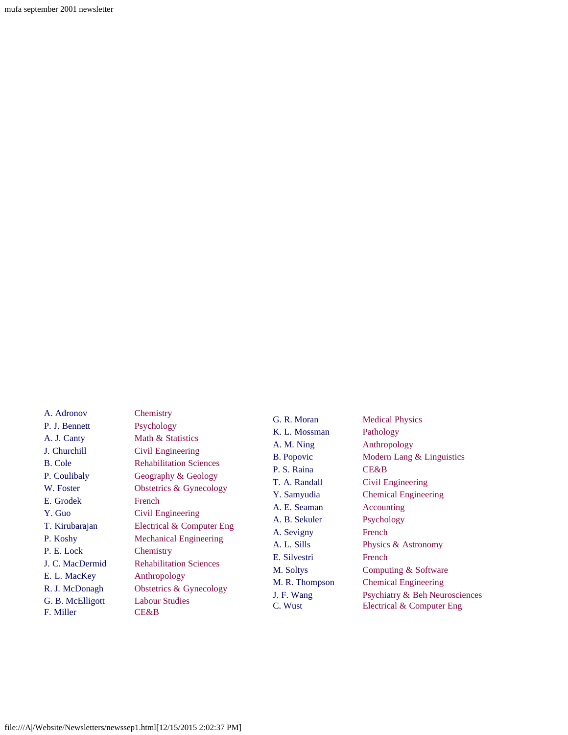mufa september 2001 newsletter

A. Adronov P. J. Bennett A. J. Canty J. Churchill B. Cole P. Coulibaly W. Foster E. Grodek Y. Guo T. Kirubarajan P. Koshy P. E. Lock J. C. MacDermid E. L. MacKey R. J. McDonagh G. B. McElligott F. Miller **Chemistry** CE&B

Psychology Math & Statistics Civil Engineering Rehabilitation Sciences Geography & Geology Obstetrics & Gynecology French Civil Engineering Electrical & Computer Eng Mechanical Engineering **Chemistry** Rehabilitation Sciences Anthropology Obstetrics & Gynecology Labour Studies

G. R. Moran K. L. Mossman A. M. Ning B. Popovic P. S. Raina T. A. Randall Y. Samyudia A. E. Seaman A. B. Sekuler A. Sevigny A. L. Sills E. Silvestri M. Soltys M. R. Thompson J. F. Wang C. Wust

Medical Physics Pathology Anthropology Modern Lang & Linguistics CE&B Civil Engineering Chemical Engineering Accounting Psychology French Physics & Astronomy French Computing & Software Chemical Engineering Psychiatry & Beh Neurosciences Electrical & Computer Eng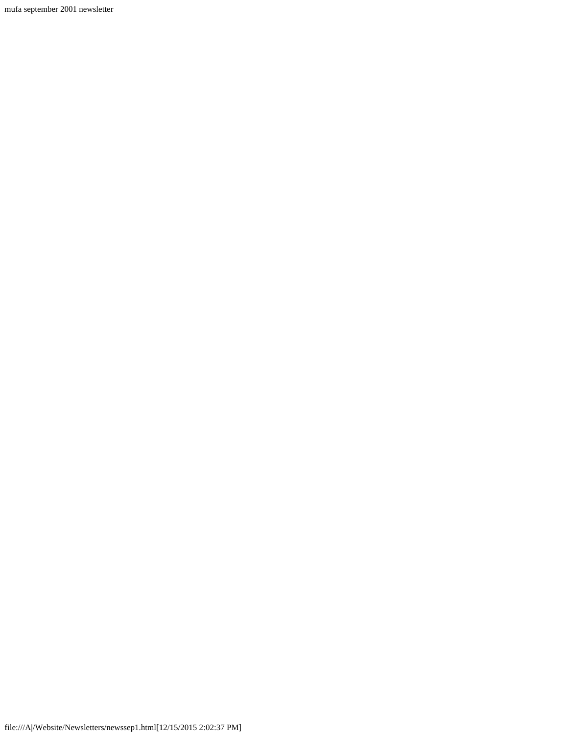mufa september 2001 newsletter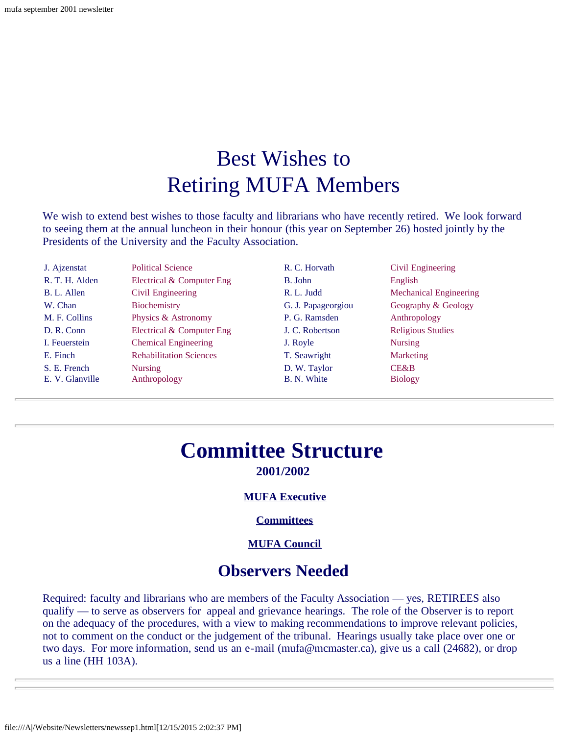## Best Wishes to Retiring MUFA Members

We wish to extend best wishes to those faculty and librarians who have recently retired. We look forward to seeing them at the annual luncheon in their honour (this year on September 26) hosted jointly by the Presidents of the University and the Faculty Association.

J. Ajzenstat R. T. H. Alden B. L. Allen W. Chan M. F. Collins D. R. Conn I. Feuerstein E. Finch S. E. French E. V. Glanville Political Science Electrical & Computer Eng Civil Engineering Biochemistry Physics & Astronomy Electrical & Computer Eng Chemical Engineering Rehabilitation Sciences Nursing Anthropology

R. C. Horvath B. John R. L. Judd G. J. Papageorgiou P. G. Ramsden J. C. Robertson J. Royle T. Seawright D. W. Taylor B. N. White

Civil Engineering English Mechanical Engineering Geography & Geology Anthropology Religious Studies Nursing Marketing CE&B Biology

### **Committee Structure 2001/2002**

#### **[MUFA Executive](file:///A|/Website/Newsletters/newexec.htm)**

#### **[Committees](file:///A|/Website/Newsletters/committe.htm)**

### **[MUFA Council](file:///A|/Website/Newsletters/council.htm)**

### **Observers Needed**

<span id="page-6-0"></span>Required: faculty and librarians who are members of the Faculty Association — yes, RETIREES also qualify — to serve as observers for appeal and grievance hearings. The role of the Observer is to report on the adequacy of the procedures, with a view to making recommendations to improve relevant policies, not to comment on the conduct or the judgement of the tribunal. Hearings usually take place over one or two days. For more information, send us an e-mail (mufa@mcmaster.ca), give us a call (24682), or drop us a line (HH 103A).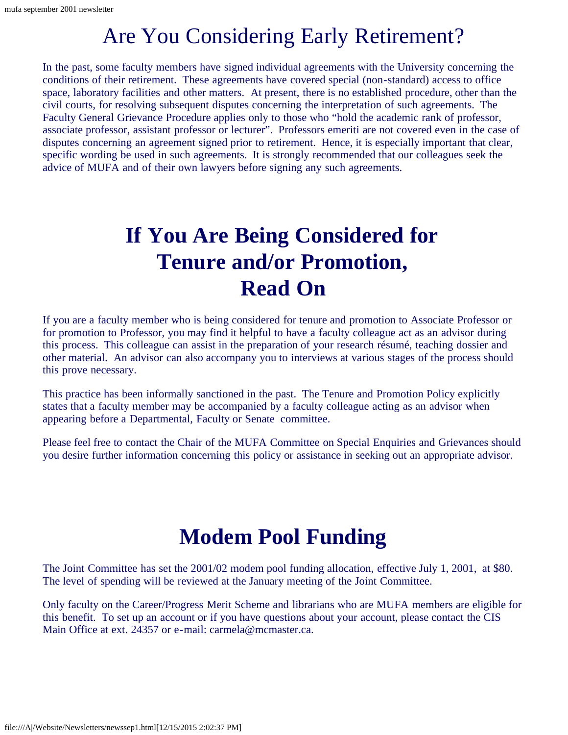### Are You Considering Early Retirement?

<span id="page-7-0"></span>In the past, some faculty members have signed individual agreements with the University concerning the conditions of their retirement. These agreements have covered special (non-standard) access to office space, laboratory facilities and other matters. At present, there is no established procedure, other than the civil courts, for resolving subsequent disputes concerning the interpretation of such agreements. The Faculty General Grievance Procedure applies only to those who "hold the academic rank of professor, associate professor, assistant professor or lecturer". Professors emeriti are not covered even in the case of disputes concerning an agreement signed prior to retirement. Hence, it is especially important that clear, specific wording be used in such agreements. It is strongly recommended that our colleagues seek the advice of MUFA and of their own lawyers before signing any such agreements.

## **If You Are Being Considered for Tenure and/or Promotion, Read On**

<span id="page-7-1"></span>If you are a faculty member who is being considered for tenure and promotion to Associate Professor or for promotion to Professor, you may find it helpful to have a faculty colleague act as an advisor during this process. This colleague can assist in the preparation of your research résumé, teaching dossier and other material. An advisor can also accompany you to interviews at various stages of the process should this prove necessary.

This practice has been informally sanctioned in the past. The Tenure and Promotion Policy explicitly states that a faculty member may be accompanied by a faculty colleague acting as an advisor when appearing before a Departmental, Faculty or Senate committee.

Please feel free to contact the Chair of the MUFA Committee on Special Enquiries and Grievances should you desire further information concerning this policy or assistance in seeking out an appropriate advisor.

## **Modem Pool Funding**

<span id="page-7-2"></span>The Joint Committee has set the 2001/02 modem pool funding allocation, effective July 1, 2001, at \$80. The level of spending will be reviewed at the January meeting of the Joint Committee.

Only faculty on the Career/Progress Merit Scheme and librarians who are MUFA members are eligible for this benefit. To set up an account or if you have questions about your account, please contact the CIS Main Office at ext. 24357 or e-mail: carmela@mcmaster.ca.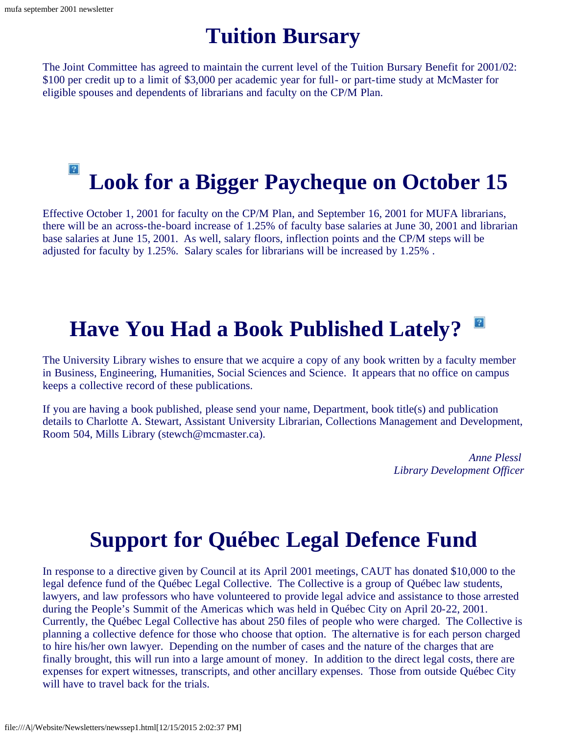## **Tuition Bursary**

<span id="page-8-0"></span>The Joint Committee has agreed to maintain the current level of the Tuition Bursary Benefit for 2001/02: \$100 per credit up to a limit of \$3,000 per academic year for full- or part-time study at McMaster for eligible spouses and dependents of librarians and faculty on the CP/M Plan.

### $|2|$ **Look for a Bigger Paycheque on October 15**

<span id="page-8-1"></span>Effective October 1, 2001 for faculty on the CP/M Plan, and September 16, 2001 for MUFA librarians, there will be an across-the-board increase of 1.25% of faculty base salaries at June 30, 2001 and librarian base salaries at June 15, 2001. As well, salary floors, inflection points and the CP/M steps will be adjusted for faculty by 1.25%. Salary scales for librarians will be increased by 1.25% .

# **Have You Had a Book Published Lately?**

<span id="page-8-2"></span>The University Library wishes to ensure that we acquire a copy of any book written by a faculty member in Business, Engineering, Humanities, Social Sciences and Science. It appears that no office on campus keeps a collective record of these publications.

If you are having a book published, please send your name, Department, book title(s) and publication details to Charlotte A. Stewart, Assistant University Librarian, Collections Management and Development, Room 504, Mills Library (stewch@mcmaster.ca).

> *Anne Plessl Library Development Officer*

## **Support for Québec Legal Defence Fund**

<span id="page-8-3"></span>In response to a directive given by Council at its April 2001 meetings, CAUT has donated \$10,000 to the legal defence fund of the Québec Legal Collective. The Collective is a group of Québec law students, lawyers, and law professors who have volunteered to provide legal advice and assistance to those arrested during the People's Summit of the Americas which was held in Québec City on April 20-22, 2001. Currently, the Québec Legal Collective has about 250 files of people who were charged. The Collective is planning a collective defence for those who choose that option. The alternative is for each person charged to hire his/her own lawyer. Depending on the number of cases and the nature of the charges that are finally brought, this will run into a large amount of money. In addition to the direct legal costs, there are expenses for expert witnesses, transcripts, and other ancillary expenses. Those from outside Québec City will have to travel back for the trials.